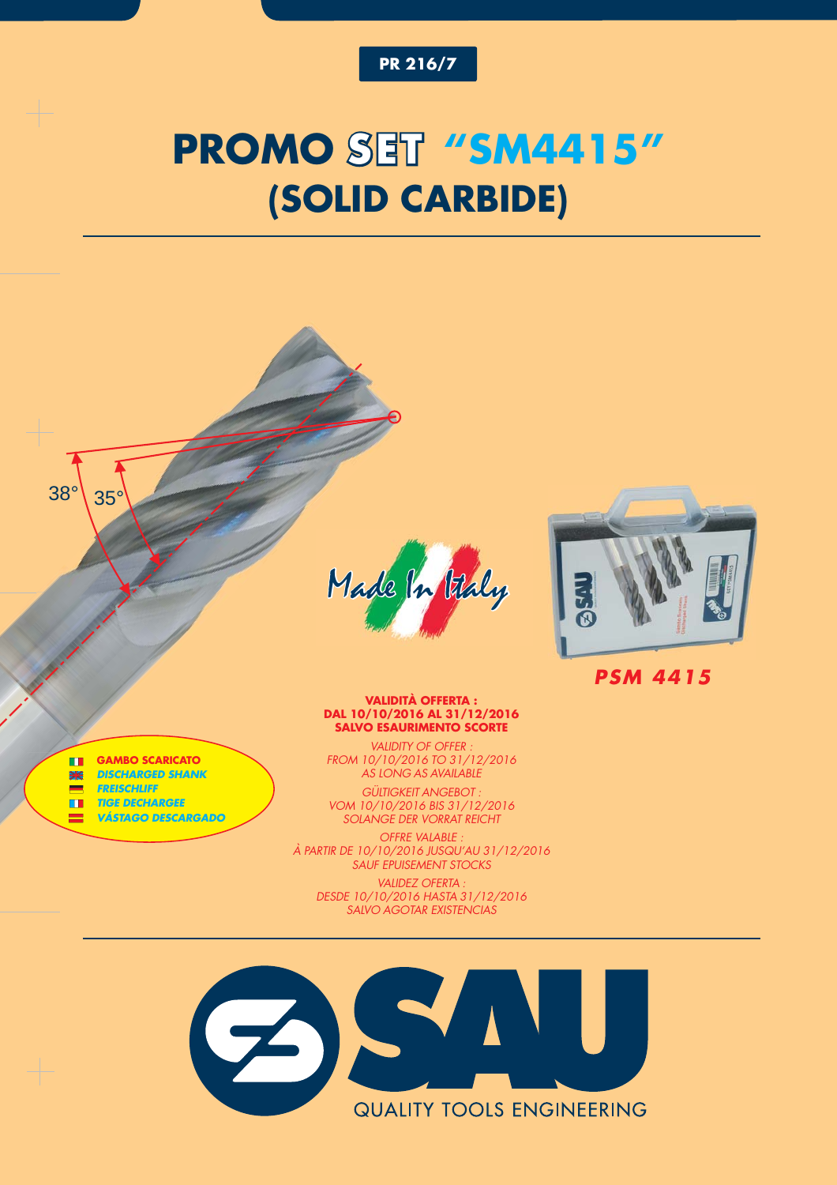

# **PROMO SET "SM4415" (SOLID CARBIDE)**

Made In Vally



*PSM 4415*

#### **GAMBO SCARICATO**  $\blacksquare$ *DISCHARGED SHANK* 聚

 $38^\circ$  35°

- *FREISCHLIFF* E
- *TIGE DECHARGEE*  $\blacksquare$
- $\blacksquare$ *VÁSTAGO DESCARGADO*

### **VALIDITÀ OFFERTA : DAL 10/10/2016 AL 31/12/2016 SALVO ESAURIMENTO SCORTE**

*VALIDITY OF OFFER : FROM 10/10/2016 TO 31/12/2016 AS LONG AS AVAILABLE*

*GÜLTIGKEIT ANGEBOT : VOM 10/10/2016 BIS 31/12/2016 SOLANGE DER VORRAT REICHT*

*OFFRE VALABLE : À PARTIR DE 10/10/2016 JUSQU'AU 31/12/2016 SAUF EPUISEMENT STOCKS VALIDEZ OFERTA : DESDE 10/10/2016 HASTA 31/12/2016*

*SALVO AGOTAR EXISTENCIAS*